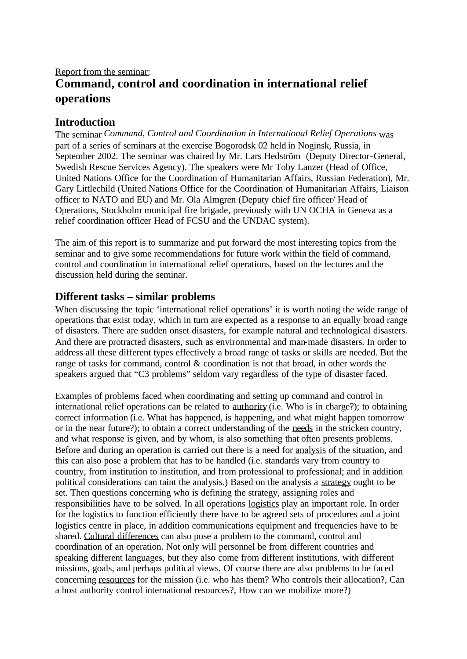# Report from the seminar: **Command, control and coordination in international relief operations**

#### **Introduction**

The seminar *Command, Control and Coordination in International Relief Operations* was part of a series of seminars at the exercise Bogorodsk 02 held in Noginsk, Russia, in September 2002. The seminar was chaired by Mr. Lars Hedström (Deputy Director-General, Swedish Rescue Services Agency). The speakers were Mr Toby Lanzer (Head of Office, United Nations Office for the Coordination of Humanitarian Affairs, Russian Federation), Mr. Gary Littlechild (United Nations Office for the Coordination of Humanitarian Affairs, Liaison officer to NATO and EU) and Mr. Ola Almgren (Deputy chief fire officer/ Head of Operations, Stockholm municipal fire brigade, previously with UN OCHA in Geneva as a relief coordination officer Head of FCSU and the UNDAC system).

The aim of this report is to summarize and put forward the most interesting topics from the seminar and to give some recommendations for future work within the field of command, control and coordination in international relief operations, based on the lectures and the discussion held during the seminar.

### **Different tasks – similar problems**

When discussing the topic 'international relief operations' it is worth noting the wide range of operations that exist today, which in turn are expected as a response to an equally broad range of disasters. There are sudden onset disasters, for example natural and technological disasters. And there are protracted disasters, such as environmental and man-made disasters. In order to address all these different types effectively a broad range of tasks or skills are needed. But the range of tasks for command, control & coordination is not that broad, in other words the speakers argued that "C3 problems" seldom vary regardless of the type of disaster faced.

Examples of problems faced when coordinating and setting up command and control in international relief operations can be related to authority (i.e. Who is in charge?); to obtaining correct information (i.e. What has happened, is happening, and what might happen tomorrow or in the near future?); to obtain a correct understanding of the needs in the stricken country, and what response is given, and by whom, is also something that often presents problems. Before and during an operation is carried out there is a need for analysis of the situation, and this can also pose a problem that has to be handled (i.e. standards vary from country to country, from institution to institution, and from professional to professional; and in addition political considerations can taint the analysis.) Based on the analysis a strategy ought to be set. Then questions concerning who is defining the strategy, assigning roles and responsibilities have to be solved. In all operations logistics play an important role. In order for the logistics to function efficiently there have to be agreed sets of procedures and a joint logistics centre in place, in addition communications equipment and frequencies have to be shared. Cultural differences can also pose a problem to the command, control and coordination of an operation. Not only will personnel be from different countries and speaking different languages, but they also come from different institutions, with different missions, goals, and perhaps political views. Of course there are also problems to be faced concerning resources for the mission (i.e. who has them? Who controls their allocation?, Can a host authority control international resources?, How can we mobilize more?)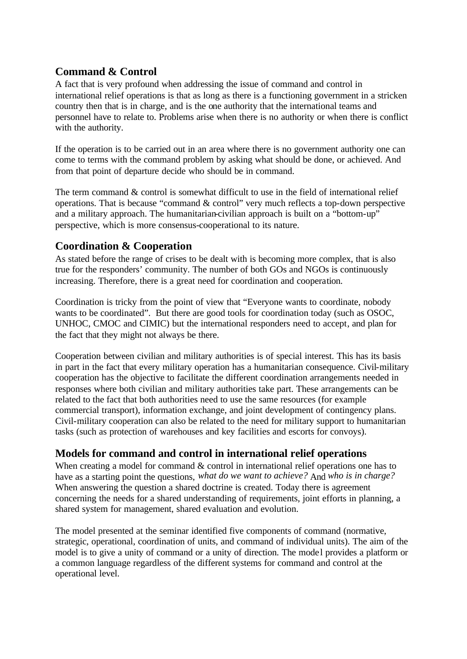## **Command & Control**

A fact that is very profound when addressing the issue of command and control in international relief operations is that as long as there is a functioning government in a stricken country then that is in charge, and is the one authority that the international teams and personnel have to relate to. Problems arise when there is no authority or when there is conflict with the authority.

If the operation is to be carried out in an area where there is no government authority one can come to terms with the command problem by asking what should be done, or achieved. And from that point of departure decide who should be in command.

The term command  $&$  control is somewhat difficult to use in the field of international relief operations. That is because "command & control" very much reflects a top-down perspective and a military approach. The humanitarian-civilian approach is built on a "bottom-up" perspective, which is more consensus-cooperational to its nature.

### **Coordination & Cooperation**

As stated before the range of crises to be dealt with is becoming more complex, that is also true for the responders' community. The number of both GOs and NGOs is continuously increasing. Therefore, there is a great need for coordination and cooperation.

Coordination is tricky from the point of view that "Everyone wants to coordinate, nobody wants to be coordinated". But there are good tools for coordination today (such as OSOC, UNHOC, CMOC and CIMIC) but the international responders need to accept, and plan for the fact that they might not always be there.

Cooperation between civilian and military authorities is of special interest. This has its basis in part in the fact that every military operation has a humanitarian consequence. Civil-military cooperation has the objective to facilitate the different coordination arrangements needed in responses where both civilian and military authorities take part. These arrangements can be related to the fact that both authorities need to use the same resources (for example commercial transport), information exchange, and joint development of contingency plans. Civil-military cooperation can also be related to the need for military support to humanitarian tasks (such as protection of warehouses and key facilities and escorts for convoys).

### **Models for command and control in international relief operations**

When creating a model for command & control in international relief operations one has to have as a starting point the questions, *what do we want to achieve?* And *who is in charge?* When answering the question a shared doctrine is created. Today there is agreement concerning the needs for a shared understanding of requirements, joint efforts in planning, a shared system for management, shared evaluation and evolution.

The model presented at the seminar identified five components of command (normative, strategic, operational, coordination of units, and command of individual units). The aim of the model is to give a unity of command or a unity of direction. The mode l provides a platform or a common language regardless of the different systems for command and control at the operational level.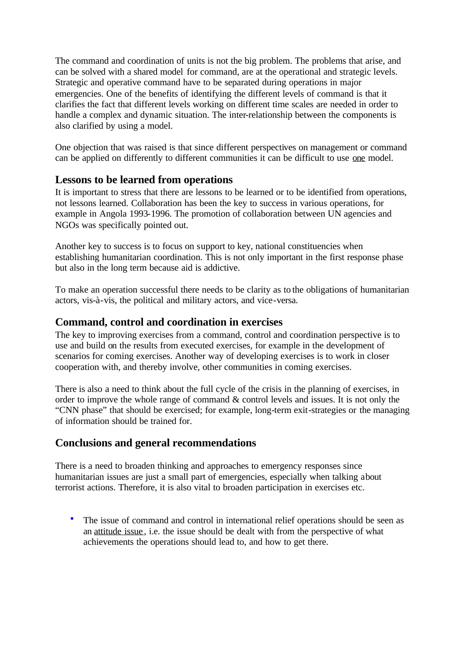The command and coordination of units is not the big problem. The problems that arise, and can be solved with a shared model for command, are at the operational and strategic levels. Strategic and operative command have to be separated during operations in major emergencies. One of the benefits of identifying the different levels of command is that it clarifies the fact that different levels working on different time scales are needed in order to handle a complex and dynamic situation. The inter-relationship between the components is also clarified by using a model.

One objection that was raised is that since different perspectives on management or command can be applied on differently to different communities it can be difficult to use one model.

#### **Lessons to be learned from operations**

It is important to stress that there are lessons to be learned or to be identified from operations, not lessons learned. Collaboration has been the key to success in various operations, for example in Angola 1993-1996. The promotion of collaboration between UN agencies and NGOs was specifically pointed out.

Another key to success is to focus on support to key, national constituencies when establishing humanitarian coordination. This is not only important in the first response phase but also in the long term because aid is addictive.

To make an operation successful there needs to be clarity as to the obligations of humanitarian actors, vis-à-vis, the political and military actors, and vice-versa.

#### **Command, control and coordination in exercises**

The key to improving exercises from a command, control and coordination perspective is to use and build on the results from executed exercises, for example in the development of scenarios for coming exercises. Another way of developing exercises is to work in closer cooperation with, and thereby involve, other communities in coming exercises.

There is also a need to think about the full cycle of the crisis in the planning of exercises, in order to improve the whole range of command & control levels and issues. It is not only the "CNN phase" that should be exercised; for example, long-term exit-strategies or the managing of information should be trained for.

### **Conclusions and general recommendations**

There is a need to broaden thinking and approaches to emergency responses since humanitarian issues are just a small part of emergencies, especially when talking about terrorist actions. Therefore, it is also vital to broaden participation in exercises etc.

• The issue of command and control in international relief operations should be seen as an attitude issue , i.e. the issue should be dealt with from the perspective of what achievements the operations should lead to, and how to get there.